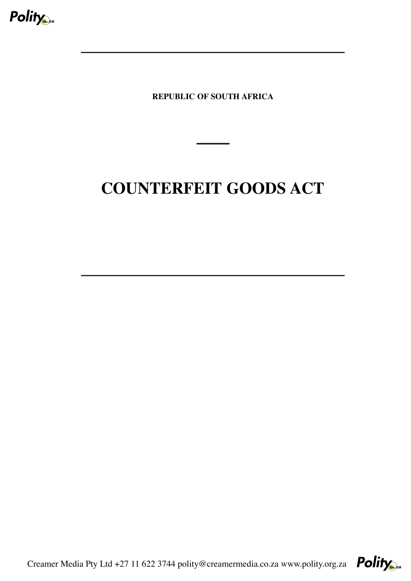

**REPUBLIC OF SOUTH AFRICA**

# **COUNTERFEIT GOODS ACT**

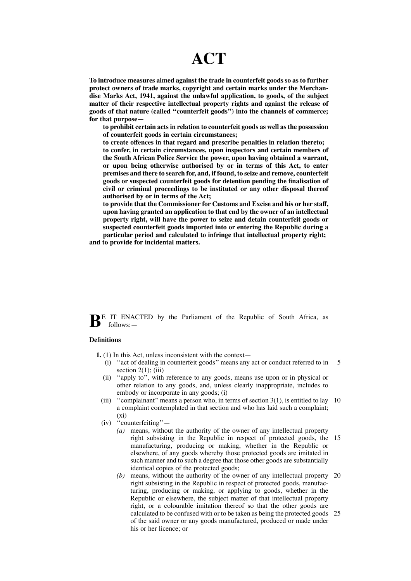## **ACT**

**To introduce measures aimed against the trade in counterfeit goods so as to further protect owners of trade marks, copyright and certain marks under the Merchandise Marks Act, 1941, against the unlawful application, to goods, of the subject matter of their respective intellectual property rights and against the release of goods of that nature (called ''counterfeit goods'') into the channels of commerce; for that purpose—**

**to prohibit certain actsin relation to counterfeit goods as well asthe possession of counterfeit goods in certain circumstances;**

**to create offences in that regard and prescribe penalties in relation thereto; to confer, in certain circumstances, upon inspectors and certain members of the South African Police Service the power, upon having obtained a warrant, or upon being otherwise authorised by or in terms of this Act, to enter premises and there to search for, and, if found, to seize and remove, counterfeit goods or suspected counterfeit goods for detention pending the finalisation of civil or criminal proceedings to be instituted or any other disposal thereof authorised by or in terms of the Act;**

**to provide that the Commissioner for Customs and Excise and his or her staff, upon having granted an application to that end by the owner of an intellectual property right, will have the power to seize and detain counterfeit goods or suspected counterfeit goods imported into or entering the Republic during a particular period and calculated to infringe that intellectual property right;**

**and to provide for incidental matters.**

**BE** IT ENACTED by the Parliament of the Republic of South Africa, as follows:—

## **Definitions**

- **1.** (1) In this Act, unless inconsistent with the context—
	- (i) ''act of dealing in counterfeit goods'' means any act or conduct referred to in section  $2(1)$ ; (iii) 5
	- (ii) ''apply to'', with reference to any goods, means use upon or in physical or other relation to any goods, and, unless clearly inappropriate, includes to embody or incorporate in any goods; (i)
	- (iii) ''complainant''means a person who, in terms of section 3(1), is entitled to lay 10 a complaint contemplated in that section and who has laid such a complaint;  $(x_i)$
	- (iv) ''counterfeiting''—
		- *(a)* means, without the authority of the owner of any intellectual property right subsisting in the Republic in respect of protected goods, the 15 manufacturing, producing or making, whether in the Republic or elsewhere, of any goods whereby those protected goods are imitated in such manner and to such a degree that those other goods are substantially identical copies of the protected goods;
		- *(b)* means, without the authority of the owner of any intellectual property 20 right subsisting in the Republic in respect of protected goods, manufacturing, producing or making, or applying to goods, whether in the Republic or elsewhere, the subject matter of that intellectual property right, or a colourable imitation thereof so that the other goods are calculated to be confused with or to be taken as being the protected goods 25of the said owner or any goods manufactured, produced or made under his or her licence; or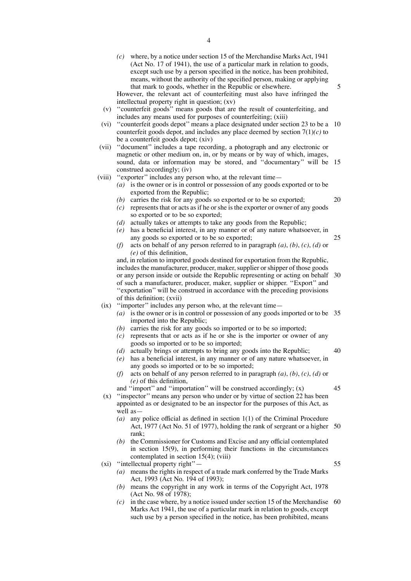*(c)* where, by a notice under section 15 of the Merchandise Marks Act, 1941 (Act No. 17 of 1941), the use of a particular mark in relation to goods, except such use by a person specified in the notice, has been prohibited, means, without the authority of the specified person, making or applying that mark to goods, whether in the Republic or elsewhere.

However, the relevant act of counterfeiting must also have infringed the intellectual property right in question; (xv)

- (v) ''counterfeit goods'' means goods that are the result of counterfeiting, and includes any means used for purposes of counterfeiting; (xiii)
- (vi) ''counterfeit goods depot'' means a place designated under section 23 to be a 10 counterfeit goods depot, and includes any place deemed by section 7(1)*(c)* to be a counterfeit goods depot; (xiv)
- (vii) ''document'' includes a tape recording, a photograph and any electronic or magnetic or other medium on, in, or by means or by way of which, images, sound, data or information may be stored, and ''documentary'' will be 15 construed accordingly; (iv)
- (viii) ''exporter'' includes any person who, at the relevant time—
	- *(a)* is the owner or is in control or possession of any goods exported or to be exported from the Republic;

20

5

- *(b)* carries the risk for any goods so exported or to be so exported;  $(c)$  represents that or acts as if he or she is the exporter or owner of any goods so exported or to be so exported;
- *(d)* actually takes or attempts to take any goods from the Republic;
- *(e)* has a beneficial interest, in any manner or of any nature whatsoever, in any goods so exported or to be so exported; 25
- *(f)* acts on behalf of any person referred to in paragraph *(a)*, *(b)*, *(c)*, *(d)* or *(e)* of this definition,

and, in relation to imported goods destined for exportation from the Republic, includes the manufacturer, producer, maker, supplier or shipper of those goods or any person inside or outside the Republic representing or acting on behalf 30 of such a manufacturer, producer, maker, supplier or shipper. ''Export'' and ''exportation'' will be construed in accordance with the preceding provisions of this definition; (xvii)

- (ix) ''importer'' includes any person who, at the relevant time—
	- *(a)* is the owner or is in control or possession of any goods imported or to be 35 imported into the Republic;
	- *(b)* carries the risk for any goods so imported or to be so imported;
	- *(c)* represents that or acts as if he or she is the importer or owner of any goods so imported or to be so imported;
	- *(d)* actually brings or attempts to bring any goods into the Republic;
	- *(e)* has a beneficial interest, in any manner or of any nature whatsoever, in any goods so imported or to be so imported;
	- *(f)* acts on behalf of any person referred to in paragraph *(a)*, *(b)*, *(c)*, *(d)* or *(e)* of this definition,

and "import" and "importation" will be construed accordingly;  $(x)$ 

- (x) ''inspector'' means any person who under or by virtue of section 22 has been appointed as or designated to be an inspector for the purposes of this Act, as well as—
	- *(a)* any police official as defined in section 1(1) of the Criminal Procedure Act, 1977 (Act No. 51 of 1977), holding the rank of sergeant or a higher 50 rank;
	- *(b)* the Commissioner for Customs and Excise and any official contemplated in section 15(9), in performing their functions in the circumstances contemplated in section 15(4); (viii)

(xi) ''intellectual property right''—

- *(a)* means the rights in respect of a trade mark conferred by the Trade Marks Act, 1993 (Act No. 194 of 1993);
- *(b)* means the copyright in any work in terms of the Copyright Act, 1978 (Act No. 98 of 1978);
- *(c)* in the case where, by a notice issued under section 15 of the Merchandise 60Marks Act 1941, the use of a particular mark in relation to goods, except such use by a person specified in the notice, has been prohibited, means

55

40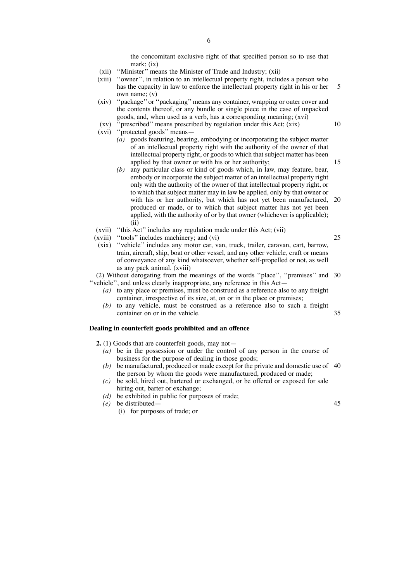the concomitant exclusive right of that specified person so to use that mark:  $(ix)$ 

- (xii) ''Minister'' means the Minister of Trade and Industry; (xii)
- (xiii) ''owner'', in relation to an intellectual property right, includes a person who has the capacity in law to enforce the intellectual property right in his or her own name; (v) 5
- (xiv) ''package'' or ''packaging''means any container, wrapping or outer cover and the contents thereof, or any bundle or single piece in the case of unpacked goods, and, when used as a verb, has a corresponding meaning; (xvi)
- (xv) ''prescribed'' means prescribed by regulation under this Act; (xix)
- (xvi) ''protected goods'' means—
	- *(a)* goods featuring, bearing, embodying or incorporating the subject matter of an intellectual property right with the authority of the owner of that intellectual property right, or goods to which that subject matter has been applied by that owner or with his or her authority;
	- *(b)* any particular class or kind of goods which, in law, may feature, bear, embody or incorporate the subject matter of an intellectual property right only with the authority of the owner of that intellectual property right, or to which that subject matter may in law be applied, only by that owner or with his or her authority, but which has not yet been manufactured, produced or made, or to which that subject matter has not yet been applied, with the authority of or by that owner (whichever is applicable); (ii) 20
- (xvii) ''this Act'' includes any regulation made under this Act; (vii)
- (xviii) ''tools'' includes machinery; and (vi)
- (xix) ''vehicle'' includes any motor car, van, truck, trailer, caravan, cart, barrow, train, aircraft, ship, boat or other vessel, and any other vehicle, craft or means of conveyance of any kind whatsoever, whether self-propelled or not, as well as any pack animal. (xviii)

(2) Without derogating from the meanings of the words ''place'', ''premises'' and 30 ''vehicle'', and unless clearly inappropriate, any reference in this Act—

- *(a)* to any place or premises, must be construed as a reference also to any freight container, irrespective of its size, at, on or in the place or premises;
- *(b)* to any vehicle, must be construed as a reference also to such a freight container on or in the vehicle. 35

#### **Dealing in counterfeit goods prohibited and an offence**

- **2.** (1) Goods that are counterfeit goods, may not—
	- *(a)* be in the possession or under the control of any person in the course of business for the purpose of dealing in those goods;
	- *(b)* be manufactured, produced or made except for the private and domestic use of 40 the person by whom the goods were manufactured, produced or made;
	- *(c)* be sold, hired out, bartered or exchanged, or be offered or exposed for sale hiring out, barter or exchange;
	- *(d)* be exhibited in public for purposes of trade;
	- *(e)* be distributed—
		- (i) for purposes of trade; or

45

25

10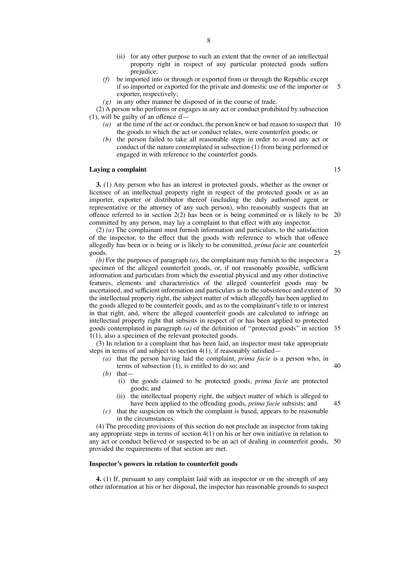- (ii) for any other purpose to such an extent that the owner of an intellectual property right in respect of any particular protected goods suffers prejudice;
- *(f)* be imported into or through or exported from or through the Republic except if so imported or exported for the private and domestic use of the importer or exporter, respectively; 5
- *(g)* in any other manner be disposed of in the course of trade.

(2) A person who performs or engages in any act or conduct prohibited by subsection  $(1)$ , will be guilty of an offence if-

- *(a)* at the time of the act or conduct, the person knew or had reason to suspect that 10 the goods to which the act or conduct relates, were counterfeit goods; or
- *(b)* the person failed to take all reasonable steps in order to avoid any act or conduct of the nature contemplated in subsection (1) from being performed or engaged in with reference to the counterfeit goods.

#### **Laying a complaint**

**3.** (1) Any person who has an interest in protected goods, whether as the owner or licensee of an intellectual property right in respect of the protected goods or as an importer, exporter or distributor thereof (including the duly authorised agent or representative or the attorney of any such person), who reasonably suspects that an offence referred to in section 2(2) has been or is being committed or is likely to be 20 committed by any person, may lay a complaint to that effect with any inspector.

(2) *(a)* The complainant must furnish information and particulars, to the satisfaction of the inspector, to the effect that the goods with reference to which that offence allegedly has been or is being or is likely to be committed, *prima facie* are counterfeit goods.

*(b)* For the purposes of paragraph *(a)*, the complainant may furnish to the inspector a specimen of the alleged counterfeit goods, or, if not reasonably possible, sufficient information and particulars from which the essential physical and any other distinctive features, elements and characteristics of the alleged counterfeit goods may be ascertained, and sufficient information and particulars as to the subsistence and extent of 30 the intellectual property right, the subject matter of which allegedly has been applied to the goods alleged to be counterfeit goods, and as to the complainant's title to or interest in that right, and, where the alleged counterfeit goods are calculated to infringe an intellectual property right that subsists in respect of or has been applied to protected goods contemplated in paragraph *(a)* of the definition of ''protected goods'' in section 35 1(1), also a specimen of the relevant protected goods.

(3) In relation to a complaint that has been laid, an inspector must take appropriate steps in terms of and subject to section 4(1), if reasonably satisfied—

- *(a)* that the person having laid the complaint, *prima facie* is a person who, in terms of subsection  $(1)$ , is entitled to do so; and *(b)* that—
	- (i) the goods claimed to be protected goods, *prima facie* are protected goods; and
	- (ii) the intellectual property right, the subject matter of which is alleged to have been applied to the offending goods, *prima facie* subsists; and
- *(c)* that the suspicion on which the complaint is based, appears to be reasonable in the circumstances.

(4) The preceding provisions of this section do not preclude an inspector from taking any appropriate steps in terms of section 4(1) on his or her own initiative in relation to any act or conduct believed or suspected to be an act of dealing in counterfeit goods, 50provided the requirements of that section are met.

#### **Inspector's powers in relation to counterfeit goods**

**4.** (1) If, pursuant to any complaint laid with an inspector or on the strength of any other information at his or her disposal, the inspector has reasonable grounds to suspect

15

25

40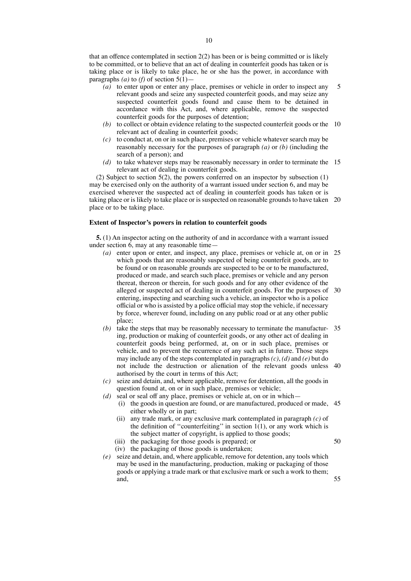that an offence contemplated in section 2(2) has been or is being committed or is likely to be committed, or to believe that an act of dealing in counterfeit goods has taken or is taking place or is likely to take place, he or she has the power, in accordance with paragraphs *(a)* to *(f)* of section  $5(1)$ —

- *(a)* to enter upon or enter any place, premises or vehicle in order to inspect any relevant goods and seize any suspected counterfeit goods, and may seize any suspected counterfeit goods found and cause them to be detained in accordance with this Act, and, where applicable, remove the suspected counterfeit goods for the purposes of detention; 5
- *(b)* to collect or obtain evidence relating to the suspected counterfeit goods or the 10 relevant act of dealing in counterfeit goods;
- *(c)* to conduct at, on or in such place, premises or vehicle whatever search may be reasonably necessary for the purposes of paragraph *(a)* or *(b)* (including the search of a person); and
- *(d)* to take whatever steps may be reasonably necessary in order to terminate the 15 relevant act of dealing in counterfeit goods.

(2) Subject to section 5(2), the powers conferred on an inspector by subsection (1) may be exercised only on the authority of a warrant issued under section 6, and may be exercised wherever the suspected act of dealing in counterfeit goods has taken or is taking place or is likely to take place or is suspected on reasonable grounds to have taken 20 place or to be taking place.

#### **Extent of Inspector's powers in relation to counterfeit goods**

**5.** (1) An inspector acting on the authority of and in accordance with a warrant issued under section 6, may at any reasonable time—

- *(a)* enter upon or enter, and inspect, any place, premises or vehicle at, on or in 25 which goods that are reasonably suspected of being counterfeit goods, are to be found or on reasonable grounds are suspected to be or to be manufactured, produced or made, and search such place, premises or vehicle and any person thereat, thereon or therein, for such goods and for any other evidence of the alleged or suspected act of dealing in counterfeit goods. For the purposes of 30 entering, inspecting and searching such a vehicle, an inspector who is a police official or who is assisted by a police official may stop the vehicle, if necessary by force, wherever found, including on any public road or at any other public place;
- *(b)* take the steps that may be reasonably necessary to terminate the manufactur-35 ing, production or making of counterfeit goods, or any other act of dealing in counterfeit goods being performed, at, on or in such place, premises or vehicle, and to prevent the recurrence of any such act in future. Those steps may include any of the steps contemplated in paragraphs*(c)*, *(d)* and *(e)* but do not include the destruction or alienation of the relevant goods unless 40 authorised by the court in terms of this Act;
- *(c)* seize and detain, and, where applicable, remove for detention, all the goods in question found at, on or in such place, premises or vehicle;
- *(d)* seal or seal off any place, premises or vehicle at, on or in which—
	- (i) the goods in question are found, or are manufactured, produced or made, 45 either wholly or in part;
	- (ii) any trade mark, or any exclusive mark contemplated in paragraph *(c)* of the definition of "counterfeiting" in section  $1(1)$ , or any work which is the subject matter of copyright, is applied to those goods;
	- (iii) the packaging for those goods is prepared; or

- (iv) the packaging of those goods is undertaken;
- *(e)* seize and detain, and, where applicable, remove for detention, any tools which may be used in the manufacturing, production, making or packaging of those goods or applying a trade mark or that exclusive mark or such a work to them; and,
- 55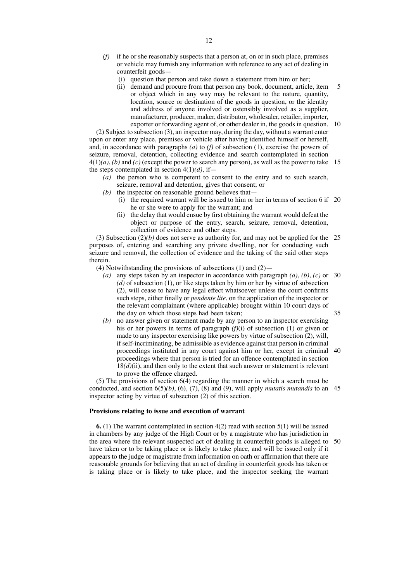- *(f)* if he or she reasonably suspects that a person at, on or in such place, premises or vehicle may furnish any information with reference to any act of dealing in counterfeit goods—
	- (i) question that person and take down a statement from him or her;
	- (ii) demand and procure from that person any book, document, article, item or object which in any way may be relevant to the nature, quantity, location, source or destination of the goods in question, or the identity and address of anyone involved or ostensibly involved as a supplier, manufacturer, producer, maker, distributor, wholesaler, retailer, importer, exporter or forwarding agent of, or other dealer in, the goods in question. 10 5

(2) Subject to subsection (3), an inspector may, during the day, without a warrant enter upon or enter any place, premises or vehicle after having identified himself or herself, and, in accordance with paragraphs *(a)* to *(f)* of subsection (1), exercise the powers of seizure, removal, detention, collecting evidence and search contemplated in section 4(1)*(a)*, *(b)* and *(c)* (except the power to search any person), as well as the power to take 15 the steps contemplated in section  $4(1)(d)$ , if—

- *(a)* the person who is competent to consent to the entry and to such search, seizure, removal and detention, gives that consent; or
- *(b)* the inspector on reasonable ground believes that—
	- (i) the required warrant will be issued to him or her in terms of section 6 if 20 he or she were to apply for the warrant; and
	- (ii) the delay that would ensue by first obtaining the warrant would defeat the object or purpose of the entry, search, seizure, removal, detention, collection of evidence and other steps.

(3) Subsection  $(2)(b)$  does not serve as authority for, and may not be applied for the 25 purposes of, entering and searching any private dwelling, nor for conducting such seizure and removal, the collection of evidence and the taking of the said other steps therein.

(4) Notwithstanding the provisions of subsections  $(1)$  and  $(2)$ —

- *(a)* any steps taken by an inspector in accordance with paragraph *(a)*, *(b)*, *(c)* or 30 *(d)* of subsection (1), or like steps taken by him or her by virtue of subsection (2), will cease to have any legal effect whatsoever unless the court confirms such steps, either finally or *pendente lite*, on the application of the inspector or the relevant complainant (where applicable) brought within 10 court days of the day on which those steps had been taken; 35
- *(b)* no answer given or statement made by any person to an inspector exercising his or her powers in terms of paragraph *(f)*(i) of subsection (1) or given or made to any inspector exercising like powers by virtue of subsection (2), will, if self-incriminating, be admissible as evidence against that person in criminal proceedings instituted in any court against him or her, except in criminal 40 proceedings where that person is tried for an offence contemplated in section  $18(d)(ii)$ , and then only to the extent that such answer or statement is relevant to prove the offence charged.

(5) The provisions of section 6(4) regarding the manner in which a search must be conducted, and section 6(5)*(b)*, (6), (7), (8) and (9), will apply *mutatis mutandis* to an 45 inspector acting by virtue of subsection (2) of this section.

## **Provisions relating to issue and execution of warrant**

**6.** (1) The warrant contemplated in section 4(2) read with section 5(1) will be issued in chambers by any judge of the High Court or by a magistrate who has jurisdiction in the area where the relevant suspected act of dealing in counterfeit goods is alleged to 50have taken or to be taking place or is likely to take place, and will be issued only if it appears to the judge or magistrate from information on oath or affirmation that there are reasonable grounds for believing that an act of dealing in counterfeit goods has taken or is taking place or is likely to take place, and the inspector seeking the warrant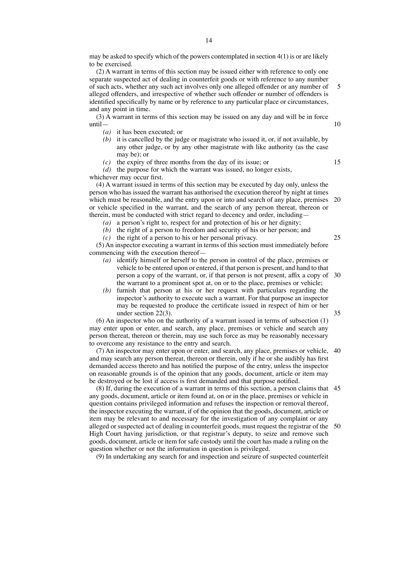may be asked to specify which of the powers contemplated in section 4(1) is or are likely to be exercised.

(2) A warrant in terms of this section may be issued either with reference to only one separate suspected act of dealing in counterfeit goods or with reference to any number of such acts, whether any such act involves only one alleged offender or any number of alleged offenders, and irrespective of whether such offender or number of offenders is identified specifically by name or by reference to any particular place or circumstances, and any point in time. 5

(3) A warrant in terms of this section may be issued on any day and will be in force until—

- *(a)* it has been executed; or
- *(b)* it is cancelled by the judge or magistrate who issued it, or, if not available, by any other judge, or by any other magistrate with like authority (as the case may be); or
- *(c)* the expiry of three months from the day of its issue; or

*(d)* the purpose for which the warrant was issued, no longer exists, whichever may occur first.

(4) A warrant issued in terms of this section may be executed by day only, unless the person who has issued the warrant has authorised the execution thereof by night at times which must be reasonable, and the entry upon or into and search of any place, premises or vehicle specified in the warrant, and the search of any person thereat, thereon or therein, must be conducted with strict regard to decency and order, including— 20

*(a)* a person's right to, respect for and protection of his or her dignity;

- *(b)* the right of a person to freedom and security of his or her person; and
- *(c)* the right of a person to his or her personal privacy.

(5) An inspector executing a warrant in terms of this section must immediately before commencing with the execution thereof—

- *(a)* identify himself or herself to the person in control of the place, premises or vehicle to be entered upon or entered, if that person is present, and hand to that person a copy of the warrant, or, if that person is not present, affix a copy of 30 the warrant to a prominent spot at, on or to the place, premises or vehicle;
- *(b)* furnish that person at his or her request with particulars regarding the inspector's authority to execute such a warrant. For that purpose an inspector may be requested to produce the certificate issued in respect of him or her under section 22(3).

(6) An inspector who on the authority of a warrant issued in terms of subsection (1) may enter upon or enter, and search, any place, premises or vehicle and search any person thereat, thereon or therein, may use such force as may be reasonably necessary to overcome any resistance to the entry and search.

(7) An inspector may enter upon or enter, and search, any place, premises or vehicle, 40 and may search any person thereat, thereon or therein, only if he or she audibly has first demanded access thereto and has notified the purpose of the entry, unless the inspector on reasonable grounds is of the opinion that any goods, document, article or item may be destroyed or be lost if access is first demanded and that purpose notified.

(8) If, during the execution of a warrant in terms of this section, a person claims that 45 any goods, document, article or item found at, on or in the place, premises or vehicle in question contains privileged information and refuses the inspection or removal thereof, the inspector executing the warrant, if of the opinion that the goods, document, article or item may be relevant to and necessary for the investigation of any complaint or any alleged or suspected act of dealing in counterfeit goods, must request the registrar of the 50High Court having jurisdiction, or that registrar's deputy, to seize and remove such goods, document, article or item for safe custody until the court has made a ruling on the question whether or not the information in question is privileged.

(9) In undertaking any search for and inspection and seizure of suspected counterfeit

10

15

25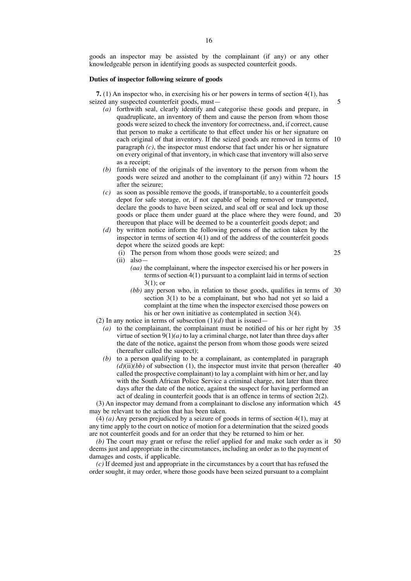goods an inspector may be assisted by the complainant (if any) or any other knowledgeable person in identifying goods as suspected counterfeit goods.

#### **Duties of inspector following seizure of goods**

**7.** (1) An inspector who, in exercising his or her powers in terms of section 4(1), has seized any suspected counterfeit goods, must—

- *(a)* forthwith seal, clearly identify and categorise these goods and prepare, in quadruplicate, an inventory of them and cause the person from whom those goods were seized to check the inventory for correctness, and, if correct, cause that person to make a certificate to that effect under his or her signature on each original of that inventory. If the seized goods are removed in terms of 10 paragraph  $(c)$ , the inspector must endorse that fact under his or her signature on every original of that inventory, in which case that inventory will also serve as a receipt;
- *(b)* furnish one of the originals of the inventory to the person from whom the goods were seized and another to the complainant (if any) within 72 hours 15 after the seizure;
- *(c)* as soon as possible remove the goods, if transportable, to a counterfeit goods depot for safe storage, or, if not capable of being removed or transported, declare the goods to have been seized, and seal off or seal and lock up those goods or place them under guard at the place where they were found, and 20 thereupon that place will be deemed to be a counterfeit goods depot; and
- *(d)* by written notice inform the following persons of the action taken by the inspector in terms of section 4(1) and of the address of the counterfeit goods depot where the seized goods are kept:
	- (i) The person from whom those goods were seized; and
	- (ii) also—
		- *(aa)* the complainant, where the inspector exercised his or her powers in terms of section 4(1) pursuant to a complaint laid in terms of section  $3(1)$ ; or
		- *(bb)* any person who, in relation to those goods, qualifies in terms of 30 section 3(1) to be a complainant, but who had not yet so laid a complaint at the time when the inspector exercised those powers on his or her own initiative as contemplated in section 3(4).
- (2) In any notice in terms of subsection  $(1)(d)$  that is issued—
	- *(a)* to the complainant, the complainant must be notified of his or her right by 35 virtue of section  $9(1)(a)$  to lay a criminal charge, not later than three days after the date of the notice, against the person from whom those goods were seized (hereafter called the suspect);
	- *(b)* to a person qualifying to be a complainant, as contemplated in paragraph  $(d)(ii)(bb)$  of subsection (1), the inspector must invite that person (hereafter 40) called the prospective complainant) to lay a complaint with him or her, and lay with the South African Police Service a criminal charge, not later than three days after the date of the notice, against the suspect for having performed an act of dealing in counterfeit goods that is an offence in terms of section 2(2).

(3) An inspector may demand from a complainant to disclose any information which 45 may be relevant to the action that has been taken.

(4) *(a)* Any person prejudiced by a seizure of goods in terms of section 4(1), may at any time apply to the court on notice of motion for a determination that the seized goods are not counterfeit goods and for an order that they be returned to him or her.

*(b)* The court may grant or refuse the relief applied for and make such order as it 50deems just and appropriate in the circumstances, including an order as to the payment of damages and costs, if applicable.

*(c)* If deemed just and appropriate in the circumstances by a court that has refused the order sought, it may order, where those goods have been seized pursuant to a complaint

5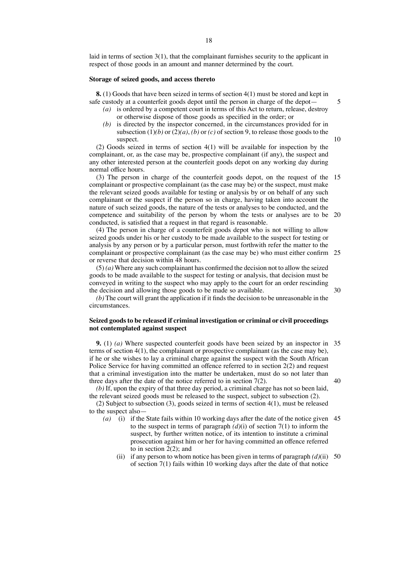laid in terms of section 3(1), that the complainant furnishes security to the applicant in respect of those goods in an amount and manner determined by the court.

#### **Storage of seized goods, and access thereto**

**8.** (1) Goods that have been seized in terms of section 4(1) must be stored and kept in safe custody at a counterfeit goods depot until the person in charge of the depot—

*(a)* is ordered by a competent court in terms of this Act to return, release, destroy or otherwise dispose of those goods as specified in the order; or

5

10

30

*(b)* is directed by the inspector concerned, in the circumstances provided for in subsection  $(1)(b)$  or  $(2)(a)$ ,  $(b)$  or  $(c)$  of section 9, to release those goods to the suspect.

(2) Goods seized in terms of section 4(1) will be available for inspection by the complainant, or, as the case may be, prospective complainant (if any), the suspect and any other interested person at the counterfeit goods depot on any working day during normal office hours.

(3) The person in charge of the counterfeit goods depot, on the request of the 15 complainant or prospective complainant (as the case may be) or the suspect, must make the relevant seized goods available for testing or analysis by or on behalf of any such complainant or the suspect if the person so in charge, having taken into account the nature of such seized goods, the nature of the tests or analyses to be conducted, and the competence and suitability of the person by whom the tests or analyses are to be 20 conducted, is satisfied that a request in that regard is reasonable.

(4) The person in charge of a counterfeit goods depot who is not willing to allow seized goods under his or her custody to be made available to the suspect for testing or analysis by any person or by a particular person, must forthwith refer the matter to the complainant or prospective complainant (as the case may be) who must either confirm 25 or reverse that decision within 48 hours.

(5) *(a)* Where any such complainant has confirmed the decision not to allow the seized goods to be made available to the suspect for testing or analysis, that decision must be conveyed in writing to the suspect who may apply to the court for an order rescinding the decision and allowing those goods to be made so available.

 $(b)$  The court will grant the application if it finds the decision to be unreasonable in the circumstances.

### **Seized goodsto be released if criminal investigation or criminal or civil proceedings not contemplated against suspect**

**9.** (1) *(a)* Where suspected counterfeit goods have been seized by an inspector in 35 terms of section 4(1), the complainant or prospective complainant (as the case may be), if he or she wishes to lay a criminal charge against the suspect with the South African Police Service for having committed an offence referred to in section 2(2) and request that a criminal investigation into the matter be undertaken, must do so not later than three days after the date of the notice referred to in section 7(2).  $40$ 

*(b)* If, upon the expiry of that three day period, a criminal charge has not so been laid, the relevant seized goods must be released to the suspect, subject to subsection (2).

(2) Subject to subsection (3), goods seized in terms of section 4(1), must be released to the suspect also—

- *(a)* (i) if the State fails within 10 working days after the date of the notice given 45 to the suspect in terms of paragraph  $(d)(i)$  of section 7(1) to inform the suspect, by further written notice, of its intention to institute a criminal prosecution against him or her for having committed an offence referred to in section 2(2); and
	- (ii) if any person to whom notice has been given in terms of paragraph *(d)*(ii) 50of section 7(1) fails within 10 working days after the date of that notice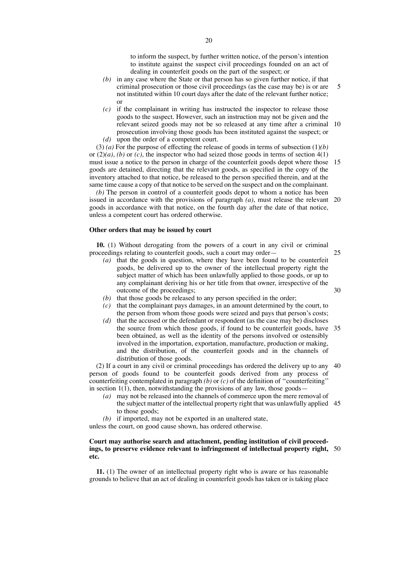to inform the suspect, by further written notice, of the person's intention to institute against the suspect civil proceedings founded on an act of dealing in counterfeit goods on the part of the suspect; or

- *(b)* in any case where the State or that person has so given further notice, if that criminal prosecution or those civil proceedings (as the case may be) is or are not instituted within 10 court days after the date of the relevant further notice; or 5
- *(c)* if the complainant in writing has instructed the inspector to release those goods to the suspect. However, such an instruction may not be given and the relevant seized goods may not be so released at any time after a criminal 10 prosecution involving those goods has been instituted against the suspect; or
- *(d)* upon the order of a competent court.

(3) *(a)* For the purpose of effecting the release of goods in terms of subsection (1)*(b)* or (2)*(a)*, *(b)* or *(c)*, the inspector who had seized those goods in terms of section 4(1) must issue a notice to the person in charge of the counterfeit goods depot where those 15 goods are detained, directing that the relevant goods, as specified in the copy of the inventory attached to that notice, be released to the person specified therein, and at the same time cause a copy of that notice to be served on the suspect and on the complainant.

*(b)* The person in control of a counterfeit goods depot to whom a notice has been issued in accordance with the provisions of paragraph *(a)*, must release the relevant 20 goods in accordance with that notice, on the fourth day after the date of that notice, unless a competent court has ordered otherwise.

#### **Other orders that may be issued by court**

**10.** (1) Without derogating from the powers of a court in any civil or criminal proceedings relating to counterfeit goods, such a court may order—

*(a)* that the goods in question, where they have been found to be counterfeit goods, be delivered up to the owner of the intellectual property right the subject matter of which has been unlawfully applied to those goods, or up to any complainant deriving his or her title from that owner, irrespective of the outcome of the proceedings;

25

30

- *(b)* that those goods be released to any person specified in the order;
- *(c)* that the complainant pays damages, in an amount determined by the court, to the person from whom those goods were seized and pays that person's costs;
- *(d)* that the accused or the defendant or respondent (as the case may be) discloses the source from which those goods, if found to be counterfeit goods, have 35 been obtained, as well as the identity of the persons involved or ostensibly involved in the importation, exportation, manufacture, production or making, and the distribution, of the counterfeit goods and in the channels of distribution of those goods.

(2) If a court in any civil or criminal proceedings has ordered the delivery up to any 40 person of goods found to be counterfeit goods derived from any process of counterfeiting contemplated in paragraph *(b)* or *(c)* of the definition of ''counterfeiting'' in section  $1(1)$ , then, notwithstanding the provisions of any law, those goods—

- *(a)* may not be released into the channels of commerce upon the mere removal of the subject matter of the intellectual property right that was unlawfully applied 45 to those goods;
- *(b)* if imported, may not be exported in an unaltered state,

unless the court, on good cause shown, has ordered otherwise.

## **Court may authorise search and attachment, pending institution of civil proceedings, to preserve evidence relevant to infringement of intellectual property right,** 50**etc.**

**11.** (1) The owner of an intellectual property right who is aware or has reasonable grounds to believe that an act of dealing in counterfeit goods has taken or is taking place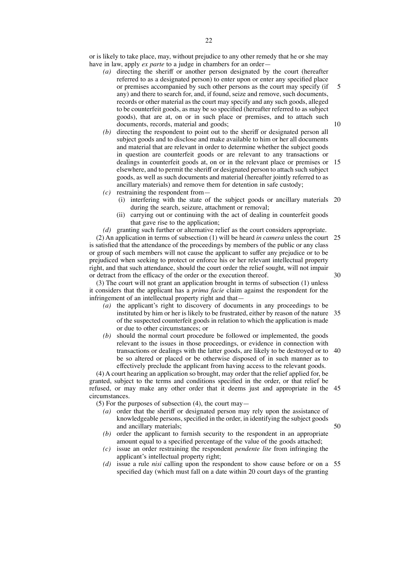or is likely to take place, may, without prejudice to any other remedy that he or she may have in law, apply *ex parte* to a judge in chambers for an order—

- *(a)* directing the sheriff or another person designated by the court (hereafter referred to as a designated person) to enter upon or enter any specified place or premises accompanied by such other persons as the court may specify (if any) and there to search for, and, if found, seize and remove, such documents, records or other material as the court may specify and any such goods, alleged to be counterfeit goods, as may be so specified (hereafter referred to as subject goods), that are at, on or in such place or premises, and to attach such documents, records, material and goods; 5 10
- *(b)* directing the respondent to point out to the sheriff or designated person all subject goods and to disclose and make available to him or her all documents and material that are relevant in order to determine whether the subject goods in question are counterfeit goods or are relevant to any transactions or dealings in counterfeit goods at, on or in the relevant place or premises or elsewhere, and to permit the sheriff or designated person to attach such subject goods, as well as such documents and material (hereafter jointly referred to as ancillary materials) and remove them for detention in safe custody; 15
- *(c)* restraining the respondent from—
	- (i) interfering with the state of the subject goods or ancillary materials 20 during the search, seizure, attachment or removal;
	- (ii) carrying out or continuing with the act of dealing in counterfeit goods that gave rise to the application;

*(d)* granting such further or alternative relief as the court considers appropriate.

(2) An application in terms of subsection (1) will be heard *in camera* unless the court 25 is satisfied that the attendance of the proceedings by members of the public or any class or group of such members will not cause the applicant to suffer any prejudice or to be prejudiced when seeking to protect or enforce his or her relevant intellectual property right, and that such attendance, should the court order the relief sought, will not impair or detract from the efficacy of the order or the execution thereof.

(3) The court will not grant an application brought in terms of subsection (1) unless it considers that the applicant has a *prima facie* claim against the respondent for the infringement of an intellectual property right and that—

- *(a)* the applicant's right to discovery of documents in any proceedings to be instituted by him or her is likely to be frustrated, either by reason of the nature 35 of the suspected counterfeit goods in relation to which the application is made or due to other circumstances; or
- *(b)* should the normal court procedure be followed or implemented, the goods relevant to the issues in those proceedings, or evidence in connection with transactions or dealings with the latter goods, are likely to be destroyed or to 40 be so altered or placed or be otherwise disposed of in such manner as to effectively preclude the applicant from having access to the relevant goods.

(4) A court hearing an application so brought, may order that the relief applied for, be granted, subject to the terms and conditions specified in the order, or that relief be refused, or may make any other order that it deems just and appropriate in the 45 circumstances.

(5) For the purposes of subsection (4), the court may—

- *(a)* order that the sheriff or designated person may rely upon the assistance of knowledgeable persons, specified in the order, in identifying the subject goods and ancillary materials;
- 50
- *(b)* order the applicant to furnish security to the respondent in an appropriate amount equal to a specified percentage of the value of the goods attached;
- *(c)* issue an order restraining the respondent *pendente lite* from infringing the applicant's intellectual property right;
- *(d)* issue a rule *nisi* calling upon the respondent to show cause before or on a 55specified day (which must fall on a date within 20 court days of the granting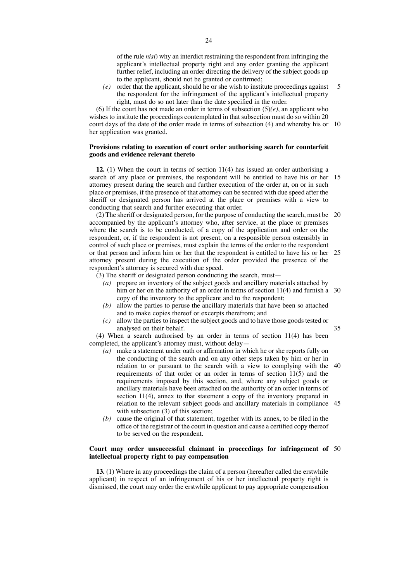of the rule *nisi*) why an interdict restraining the respondent from infringing the applicant's intellectual property right and any order granting the applicant further relief, including an order directing the delivery of the subject goods up to the applicant, should not be granted or confirmed;

*(e)* order that the applicant, should he or she wish to institute proceedings against the respondent for the infringement of the applicant's intellectual property right, must do so not later than the date specified in the order. 5

(6) If the court has not made an order in terms of subsection  $(5)(e)$ , an applicant who wishes to institute the proceedings contemplated in that subsection must do so within 20 court days of the date of the order made in terms of subsection (4) and whereby his or 10 her application was granted.

#### **Provisions relating to execution of court order authorising search for counterfeit goods and evidence relevant thereto**

**12.** (1) When the court in terms of section 11(4) has issued an order authorising a search of any place or premises, the respondent will be entitled to have his or her 15 attorney present during the search and further execution of the order at, on or in such place or premises, if the presence of that attorney can be secured with due speed after the sheriff or designated person has arrived at the place or premises with a view to conducting that search and further executing that order.

(2) The sheriff or designated person, for the purpose of conducting the search, must be 20 accompanied by the applicant's attorney who, after service, at the place or premises where the search is to be conducted, of a copy of the application and order on the respondent, or, if the respondent is not present, on a responsible person ostensibly in control of such place or premises, must explain the terms of the order to the respondent or that person and inform him or her that the respondent is entitled to have his or her 25 attorney present during the execution of the order provided the presence of the respondent's attorney is secured with due speed.

(3) The sheriff or designated person conducting the search, must—

- *(a)* prepare an inventory of the subject goods and ancillary materials attached by him or her on the authority of an order in terms of section 11(4) and furnish a 30 copy of the inventory to the applicant and to the respondent;
- *(b)* allow the parties to peruse the ancillary materials that have been so attached and to make copies thereof or excerpts therefrom; and
- *(c)* allow the parties to inspect the subject goods and to have those goods tested or analysed on their behalf.

(4) When a search authorised by an order in terms of section 11(4) has been completed, the applicant's attorney must, without delay—

- *(a)* make a statement under oath or affirmation in which he or she reports fully on the conducting of the search and on any other steps taken by him or her in relation to or pursuant to the search with a view to complying with the 40 requirements of that order or an order in terms of section 11(5) and the requirements imposed by this section, and, where any subject goods or ancillary materials have been attached on the authority of an order in terms of section 11(4), annex to that statement a copy of the inventory prepared in relation to the relevant subject goods and ancillary materials in compliance 45 with subsection (3) of this section;
- *(b)* cause the original of that statement, together with its annex, to be filed in the office of the registrar of the court in question and cause a certified copy thereof to be served on the respondent.

#### **Court may order unsuccessful claimant in proceedings for infringement of** 50**intellectual property right to pay compensation**

**13.** (1) Where in any proceedings the claim of a person (hereafter called the erstwhile applicant) in respect of an infringement of his or her intellectual property right is dismissed, the court may order the erstwhile applicant to pay appropriate compensation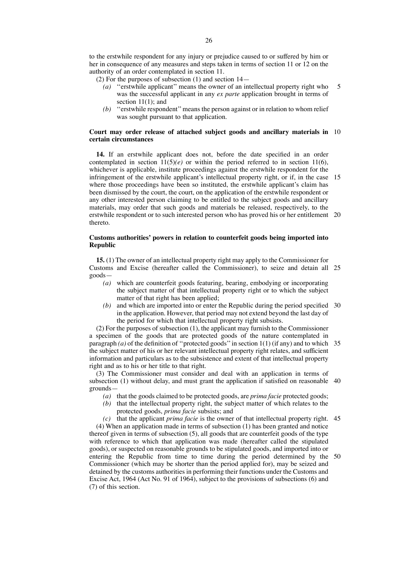to the erstwhile respondent for any injury or prejudice caused to or suffered by him or her in consequence of any measures and steps taken in terms of section 11 or 12 on the authority of an order contemplated in section 11.

- (2) For the purposes of subsection (1) and section 14—
	- *(a)* ''erstwhile applicant'' means the owner of an intellectual property right who was the successful applicant in any *ex parte* application brought in terms of section 11(1); and 5
	- *(b)* ''erstwhile respondent''means the person against or in relation to whom relief was sought pursuant to that application.

#### **Court may order release of attached subject goods and ancillary materials in** 10 **certain circumstances**

**14.** If an erstwhile applicant does not, before the date specified in an order contemplated in section  $11(5)(e)$  or within the period referred to in section 11(6), whichever is applicable, institute proceedings against the erstwhile respondent for the infringement of the erstwhile applicant's intellectual property right, or if, in the case 15 where those proceedings have been so instituted, the erstwhile applicant's claim has been dismissed by the court, the court, on the application of the erstwhile respondent or any other interested person claiming to be entitled to the subject goods and ancillary materials, may order that such goods and materials be released, respectively, to the erstwhile respondent or to such interested person who has proved his or her entitlement 20 thereto.

#### **Customs authorities' powers in relation to counterfeit goods being imported into Republic**

**15.** (1) The owner of an intellectual property right may apply to the Commissioner for Customs and Excise (hereafter called the Commissioner), to seize and detain all 25 goods—

- *(a)* which are counterfeit goods featuring, bearing, embodying or incorporating the subject matter of that intellectual property right or to which the subject matter of that right has been applied;
- *(b)* and which are imported into or enter the Republic during the period specified 30 in the application. However, that period may not extend beyond the last day of the period for which that intellectual property right subsists.

(2) For the purposes of subsection (1), the applicant may furnish to the Commissioner a specimen of the goods that are protected goods of the nature contemplated in paragraph *(a)* of the definition of ''protected goods''in section 1(1) (if any) and to which 35 the subject matter of his or her relevant intellectual property right relates, and sufficient information and particulars as to the subsistence and extent of that intellectual property right and as to his or her title to that right.

(3) The Commissioner must consider and deal with an application in terms of subsection (1) without delay, and must grant the application if satisfied on reasonable 40 grounds—

*(a)* that the goods claimed to be protected goods, are *prima facie* protected goods;

- *(b)* that the intellectual property right, the subject matter of which relates to the protected goods, *prima facie* subsists; and
- *(c)* that the applicant *prima facie* is the owner of that intellectual property right. 45

(4) When an application made in terms of subsection (1) has been granted and notice thereof given in terms of subsection (5), all goods that are counterfeit goods of the type with reference to which that application was made (hereafter called the stipulated goods), or suspected on reasonable grounds to be stipulated goods, and imported into or entering the Republic from time to time during the period determined by the 50Commissioner (which may be shorter than the period applied for), may be seized and detained by the customs authorities in performing their functions under the Customs and Excise Act, 1964 (Act No. 91 of 1964), subject to the provisions of subsections (6) and (7) of this section.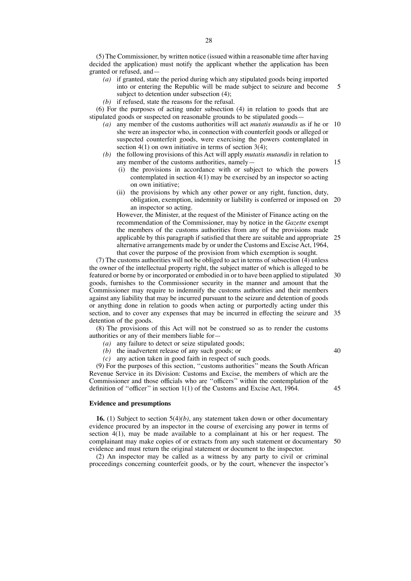(5) The Commissioner, by written notice (issued within a reasonable time after having decided the application) must notify the applicant whether the application has been granted or refused, and—

- *(a)* if granted, state the period during which any stipulated goods being imported into or entering the Republic will be made subject to seizure and become subject to detention under subsection  $(4)$ ; 5
- *(b)* if refused, state the reasons for the refusal.

(6) For the purposes of acting under subsection (4) in relation to goods that are stipulated goods or suspected on reasonable grounds to be stipulated goods—

- *(a)* any member of the customs authorities will act *mutatis mutandis* as if he or 10 she were an inspector who, in connection with counterfeit goods or alleged or suspected counterfeit goods, were exercising the powers contemplated in section  $4(1)$  on own initiative in terms of section  $3(4)$ ;
- *(b)* the following provisions of this Act will apply *mutatis mutandis* in relation to any member of the customs authorities, namely—
	- (i) the provisions in accordance with or subject to which the powers contemplated in section 4(1) may be exercised by an inspector so acting on own initiative;

15

40

(ii) the provisions by which any other power or any right, function, duty, obligation, exemption, indemnity or liability is conferred or imposed on 20 an inspector so acting.

However, the Minister, at the request of the Minister of Finance acting on the recommendation of the Commissioner, may by notice in the *Gazette* exempt the members of the customs authorities from any of the provisions made applicable by this paragraph if satisfied that there are suitable and appropriate 25 alternative arrangements made by or under the Customs and Excise Act, 1964, that cover the purpose of the provision from which exemption is sought.

(7) The customs authorities will not be obliged to act in terms of subsection  $(4)$  unless the owner of the intellectual property right, the subject matter of which is alleged to be featured or borne by or incorporated or embodied in or to have been applied to stipulated 30 goods, furnishes to the Commissioner security in the manner and amount that the Commissioner may require to indemnify the customs authorities and their members against any liability that may be incurred pursuant to the seizure and detention of goods or anything done in relation to goods when acting or purportedly acting under this section, and to cover any expenses that may be incurred in effecting the seizure and 35 detention of the goods.

(8) The provisions of this Act will not be construed so as to render the customs authorities or any of their members liable for—

- *(a)* any failure to detect or seize stipulated goods;
- *(b)* the inadvertent release of any such goods; or
- *(c)* any action taken in good faith in respect of such goods.

(9) For the purposes of this section, ''customs authorities'' means the South African Revenue Service in its Division: Customs and Excise, the members of which are the Commissioner and those officials who are ''officers'' within the contemplation of the definition of ''officer'' in section 1(1) of the Customs and Excise Act, 1964. 45

## **Evidence and presumptions**

**16.** (1) Subject to section 5(4)*(b)*, any statement taken down or other documentary evidence procured by an inspector in the course of exercising any power in terms of section  $4(1)$ , may be made available to a complainant at his or her request. The complainant may make copies of or extracts from any such statement or documentary 50evidence and must return the original statement or document to the inspector.

(2) An inspector may be called as a witness by any party to civil or criminal proceedings concerning counterfeit goods, or by the court, whenever the inspector's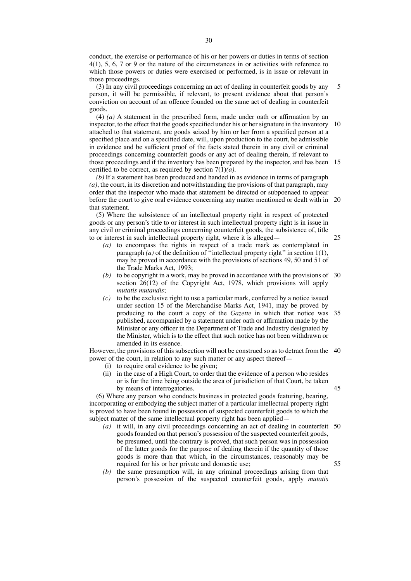conduct, the exercise or performance of his or her powers or duties in terms of section 4(1), 5, 6, 7 or 9 or the nature of the circumstances in or activities with reference to which those powers or duties were exercised or performed, is in issue or relevant in those proceedings.

(3) In any civil proceedings concerning an act of dealing in counterfeit goods by any person, it will be permissible, if relevant, to present evidence about that person's conviction on account of an offence founded on the same act of dealing in counterfeit goods. 5

(4) *(a)* A statement in the prescribed form, made under oath or affirmation by an inspector, to the effect that the goods specified under his or her signature in the inventory 10 attached to that statement, are goods seized by him or her from a specified person at a specified place and on a specified date, will, upon production to the court, be admissible in evidence and be sufficient proof of the facts stated therein in any civil or criminal proceedings concerning counterfeit goods or any act of dealing therein, if relevant to those proceedings and if the inventory has been prepared by the inspector, and has been 15 certified to be correct, as required by section 7(1)*(a)*.

*(b)* If a statement has been produced and handed in as evidence in terms of paragraph *(a)*, the court, in its discretion and notwithstanding the provisions of that paragraph, may order that the inspector who made that statement be directed or subpoenaed to appear before the court to give oral evidence concerning any matter mentioned or dealt with in 20 that statement.

(5) Where the subsistence of an intellectual property right in respect of protected goods or any person's title to or interest in such intellectual property right is in issue in any civil or criminal proceedings concerning counterfeit goods, the subsistence of, title to or interest in such intellectual property right, where it is alleged—

- *(a)* to encompass the rights in respect of a trade mark as contemplated in paragraph  $(a)$  of the definition of "intellectual property right" in section 1(1), may be proved in accordance with the provisions of sections 49, 50 and 51 of
- the Trade Marks Act, 1993; *(b)* to be copyright in a work, may be proved in accordance with the provisions of 30 section 26(12) of the Copyright Act, 1978, which provisions will apply *mutatis mutandis*;
- *(c)* to be the exclusive right to use a particular mark, conferred by a notice issued under section 15 of the Merchandise Marks Act, 1941, may be proved by producing to the court a copy of the *Gazette* in which that notice was 35 published, accompanied by a statement under oath or affirmation made by the Minister or any officer in the Department of Trade and Industry designated by the Minister, which is to the effect that such notice has not been withdrawn or amended in its essence.

However, the provisions of this subsection will not be construed so as to detract from the 40 power of the court, in relation to any such matter or any aspect thereof—

- (i) to require oral evidence to be given;
- (ii) in the case of a High Court, to order that the evidence of a person who resides or is for the time being outside the area of jurisdiction of that Court, be taken by means of interrogatories.

(6) Where any person who conducts business in protected goods featuring, bearing, incorporating or embodying the subject matter of a particular intellectual property right is proved to have been found in possession of suspected counterfeit goods to which the subject matter of the same intellectual property right has been applied—

- *(a)* it will, in any civil proceedings concerning an act of dealing in counterfeit 50 goods founded on that person's possession of the suspected counterfeit goods, be presumed, until the contrary is proved, that such person was in possession of the latter goods for the purpose of dealing therein if the quantity of those goods is more than that which, in the circumstances, reasonably may be required for his or her private and domestic use; 55
- *(b)* the same presumption will, in any criminal proceedings arising from that person's possession of the suspected counterfeit goods, apply *mutatis*

25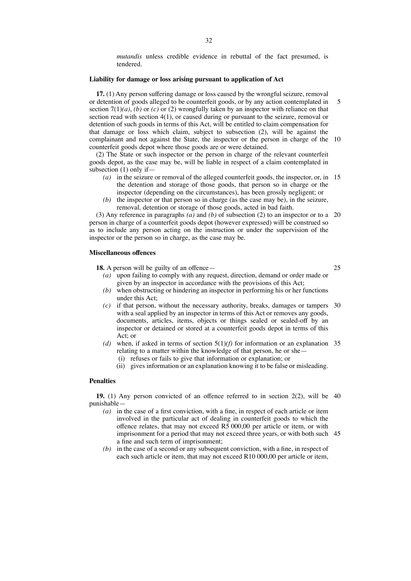*mutandis* unless credible evidence in rebuttal of the fact presumed, is tendered.

## **Liability for damage or loss arising pursuant to application of Act**

**17.** (1) Any person suffering damage or loss caused by the wrongful seizure, removal or detention of goods alleged to be counterfeit goods, or by any action contemplated in section  $7(1)(a)$ , *(b)* or *(c)* or (2) wrongfully taken by an inspector with reliance on that section read with section 4(1), or caused during or pursuant to the seizure, removal or detention of such goods in terms of this Act, will be entitled to claim compensation for that damage or loss which claim, subject to subsection (2), will be against the complainant and not against the State, the inspector or the person in charge of the 10 counterfeit goods depot where those goods are or were detained. 5

(2) The State or such inspector or the person in charge of the relevant counterfeit goods depot, as the case may be, will be liable in respect of a claim contemplated in subsection (1) only if—

- *(a)* in the seizure or removal of the alleged counterfeit goods, the inspector, or, in 15 the detention and storage of those goods, that person so in charge or the inspector (depending on the circumstances), has been grossly negligent; or
- *(b)* the inspector or that person so in charge (as the case may be), in the seizure, removal, detention or storage of those goods, acted in bad faith.

(3) Any reference in paragraphs *(a)* and *(b)* of subsection (2) to an inspector or to a 20 person in charge of a counterfeit goods depot (however expressed) will be construed so as to include any person acting on the instruction or under the supervision of the inspector or the person so in charge, as the case may be.

#### **Miscellaneous offences**

18. A person will be guilty of an offence-

25

- *(a)* upon failing to comply with any request, direction, demand or order made or given by an inspector in accordance with the provisions of this Act;
- *(b)* when obstructing or hindering an inspector in performing his or her functions under this Act;
- *(c)* if that person, without the necessary authority, breaks, damages or tampers 30 with a seal applied by an inspector in terms of this Act or removes any goods, documents, articles, items, objects or things sealed or sealed-off by an inspector or detained or stored at a counterfeit goods depot in terms of this Act: or
- (d) when, if asked in terms of section  $5(1)(f)$  for information or an explanation 35 relating to a matter within the knowledge of that person, he or she— (i) refuses or fails to give that information or explanation; or
	- (ii) gives information or an explanation knowing it to be false or misleading.

#### **Penalties**

**19.** (1) Any person convicted of an offence referred to in section 2(2), will be 40 punishable—

- *(a)* in the case of a first conviction, with a fine, in respect of each article or item involved in the particular act of dealing in counterfeit goods to which the offence relates, that may not exceed  $R5\,000,00$  per article or item, or with imprisonment for a period that may not exceed three years, or with both such 45a fine and such term of imprisonment;
- *(b)* in the case of a second or any subsequent conviction, with a fine, in respect of each such article or item, that may not exceed R10 000,00 per article or item,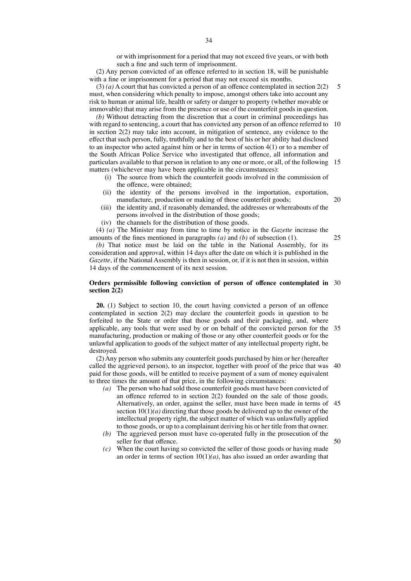(2) Any person convicted of an offence referred to in section 18, will be punishable with a fine or imprisonment for a period that may not exceed six months.

(3) *(a)* A court that has convicted a person of an offence contemplated in section 2(2) must, when considering which penalty to impose, amongst others take into account any risk to human or animal life, health or safety or danger to property (whether movable or immovable) that may arise from the presence or use of the counterfeit goods in question. 5

*(b)* Without detracting from the discretion that a court in criminal proceedings has with regard to sentencing, a court that has convicted any person of an offence referred to in section 2(2) may take into account, in mitigation of sentence, any evidence to the effect that such person, fully, truthfully and to the best of his or her ability had disclosed to an inspector who acted against him or her in terms of section 4(1) or to a member of the South African Police Service who investigated that offence, all information and particulars available to that person in relation to any one or more, or all, of the following 15 matters (whichever may have been applicable in the circumstances): 10

- (i) The source from which the counterfeit goods involved in the commission of the offence, were obtained;
- (ii) the identity of the persons involved in the importation, exportation, manufacture, production or making of those counterfeit goods;
- (iii) the identity and, if reasonably demanded, the addresses or whereabouts of the persons involved in the distribution of those goods;
- (iv) the channels for the distribution of those goods.

(4) *(a)* The Minister may from time to time by notice in the *Gazette* increase the amounts of the fines mentioned in paragraphs *(a)* and *(b)* of subsection (1).

*(b)* That notice must be laid on the table in the National Assembly, for its consideration and approval, within 14 days after the date on which it is published in the *Gazette*, if the National Assembly is then in session, or, if it is not then in session, within 14 days of the commencement of its next session.

#### **Orders permissible following conviction of person of offence contemplated in** 30 **section 2(2)**

**20.** (1) Subject to section 10, the court having convicted a person of an offence contemplated in section 2(2) may declare the counterfeit goods in question to be forfeited to the State or order that those goods and their packaging, and, where applicable, any tools that were used by or on behalf of the convicted person for the 35 manufacturing, production or making of those or any other counterfeit goods or for the unlawful application to goods of the subject matter of any intellectual property right, be destroyed.

(2) Any person who submits any counterfeit goods purchased by him or her (hereafter called the aggrieved person), to an inspector, together with proof of the price that was 40 paid for those goods, will be entitled to receive payment of a sum of money equivalent to three times the amount of that price, in the following circumstances:

- *(a)* The person who had sold those counterfeit goods must have been convicted of an offence referred to in section 2(2) founded on the sale of those goods. Alternatively, an order, against the seller, must have been made in terms of 45 section  $10(1)(a)$  directing that those goods be delivered up to the owner of the intellectual property right, the subject matter of which was unlawfully applied to those goods, or up to a complainant deriving his or her title from that owner.
- *(b)* The aggrieved person must have co-operated fully in the prosecution of the seller for that offence.
- *(c)* When the court having so convicted the seller of those goods or having made an order in terms of section 10(1)*(a)*, has also issued an order awarding that

20

25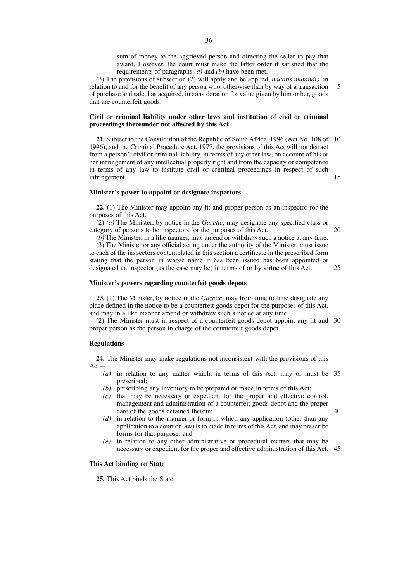sum of money to the aggrieved person and directing the seller to pay that award. However, the court must make the latter order if satisfied that the requirements of paragraphs *(a)* and *(b)* have been met.

(3) The provisions of subsection (2) will apply and be applied, *mutatis mutandis,* in relation to and for the benefit of any person who, otherwise than by way of a transaction of purchase and sale, has acquired, in consideration for value given by him or her, goods that are counterfeit goods. 5

## **Civil or criminal liability under other laws and institution of civil or criminal proceedings thereunder not affected by this Act**

**21.** Subject to the Constitution of the Republic of South Africa, 1996 (Act No. 108 of 10 1996), and the Criminal Procedure Act, 1977, the provisions of this Act will not detract from a person's civil or criminal liability, in terms of any other law, on account of his or her infringement of any intellectual property right and from the capacity or competence in terms of any law to institute civil or criminal proceedings in respect of such infringement. 15

## **Minister's power to appoint or designate inspectors**

**22.** (1) The Minister may appoint any fit and proper person as an inspector for the purposes of this Act.

(2) *(a)* The Minister, by notice in the *Gazette*, may designate any specified class or category of persons to be inspectors for the purposes of this Act.

*(b)* The Minister, in a like manner, may amend or withdraw such a notice at any time. (3) The Minister or any official acting under the authority of the Minister, must issue to each of the inspectors contemplated in this section a certificate in the prescribed form stating that the person in whose name it has been issued has been appointed or designated an inspector (as the case may be) in terms of or by virtue of this Act.

#### **Minister's powers regarding counterfeit goods depots**

**23.** (1) The Minister, by notice in the *Gazette*, may from time to time designate any place defined in the notice to be a counterfeit goods depot for the purposes of this Act, and may in a like manner amend or withdraw such a notice at any time.

(2) The Minister must in respect of a counterfeit goods depot appoint any fit and 30 proper person as the person in charge of the counterfeit goods depot.

#### **Regulations**

**24.** The Minister may make regulations not inconsistent with the provisions of this Act—

- *(a)* in relation to any matter which, in terms of this Act, may or must be 35 prescribed;
- *(b)* prescribing any inventory to be prepared or made in terms of this Act;
- *(c)* that may be necessary or expedient for the proper and effective control, management and administration of a counterfeit goods depot and the proper care of the goods detained therein;

40

20

25

- *(d)* in relation to the manner or form in which any application (other than any application to a court of law) is to made in terms of this Act, and may prescribe forms for that purpose; and
- *(e)* in relation to any other administrative or procedural matters that may be necessary or expedient for the proper and effective administration of this Act. 45

## **This Act binding on State**

**25.** This Act binds the State.